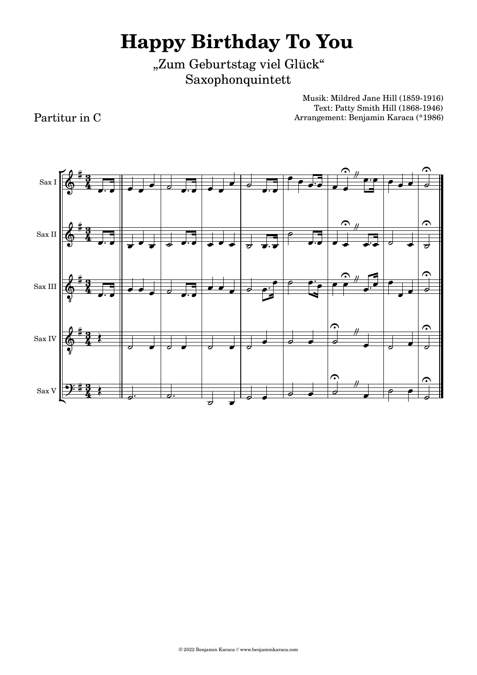"Zum Geburtstag viel Glück" Saxophonquintett

> Musik: Mildred Jane Hill (1859-1916) Text: Patty Smith Hill (1868-1946) Arrangement: Benjamin Karaca (\*1986)

Sax Sax IV Sax III Sax II Sax I  $\overline{\phantom{a}}$  $\circ$   $\bullet$  $\circ$   $\circ$   $\circ$   $\circ$  $\overrightarrow{\phantom{a}}$  $\overrightarrow{\sigma}$  $\frac{1}{\sigma}$ .  $\sigma$   $\sigma$   $\sigma$  $\overrightarrow{\sigma}$   $\overrightarrow{\sigma}$  $\overrightarrow{a}$  $\overline{\phantom{a}}$  $\overline{\phantom{a}}$  $\sigma$  and a discrete  $\sigma$  $\overrightarrow{a}$  $\overline{\phantom{0}}$  $\overline{\phantom{a}}$  $\frac{1}{\sqrt{2}}$  $\bullet$   $\circ$   $\bullet$   $\bullet$  $\bullet$   $\bullet$   $\bullet$   $\bullet$   $\bullet$  $\overline{\phantom{a}}$  $\frac{1}{2}$  $\overrightarrow{...}$  $\overrightarrow{z}$  ,  $\overrightarrow{z}$  ,  $\overrightarrow{z}$  $\overrightarrow{a}$  $\overrightarrow{ }$  $\overline{\sigma}$   $\parallel$  $\overrightarrow{ }$  $\overrightarrow{ }$  $\overrightarrow{\cdot}$   $\overrightarrow{v}$   $\overrightarrow{v}$   $\overrightarrow{v}$   $\overrightarrow{v}$   $\overrightarrow{v}$   $\overrightarrow{v}$   $\overrightarrow{v}$  $\overline{\ }$  $\overline{\phantom{a}}$  $\bullet$   $\bullet$  $\overrightarrow{a}$  $\left| \cdot \right|$  $\overline{\phantom{a}}$  $\overline{\phantom{a}}$  $\overrightarrow{\cdot\cdot\cdot}$  $\overline{\phantom{a}}$  $\overline{\phantom{a}}$  $\frac{1}{\sqrt{2}}$  $\overrightarrow{v}$  $\bullet$   $\circ$  $\overrightarrow{a}$   $\overrightarrow{b}$   $\overrightarrow{a}$   $\overrightarrow{b}$   $\overrightarrow{a}$   $\overrightarrow{a}$   $\overrightarrow{b}$  $\overrightarrow{a}$  $\overrightarrow{ }$  $9:77$  $64$  $64 64 64 \frac{1}{2}$  <del># 3−</del> <del>⊭ 3</del> <del>‡ 3</del>  $rac{3}{4}$  $rac{3}{4}$  $\frac{3}{4}$  $\frac{3}{4}$  $\frac{3}{4}$  $\left\langle \right|$  $\left\langle \right|$  $^{\prime\prime}$  $^{\prime\prime}$  $\frac{1}{2}$  $\frac{\theta}{\sqrt{2}}$  $^{\prime\prime}$  p:p  $^{\prime\prime}$  $\hat{p}$   $\hat{p}$  $\hat{c}$   $\theta$  $\hat{c}$   $\hat{c}$   $\hat{c}$   $\hat{c}$   $\hat{c}$   $\hat{c}$  $\frac{1}{\sqrt{2}}$   $\frac{1}{\sqrt{2}}$   $\begin{array}{ccc} \cdot & \cdot & \cdot \\ \end{array}$  $\cdot$  $\frac{1}{\bullet}$  $\frac{1}{2}$  $\overline{\cdot}$   $\overline{\cdot}$   $\overline{\cdot}$   $\overline{\cdot}$   $\overline{\cdot}$   $\overline{\cdot}$   $\overline{\cdot}$   $\overline{\cdot}$   $\overline{\cdot}$   $\overline{\cdot}$   $\overline{\cdot}$   $\overline{\cdot}$   $\overline{\cdot}$   $\overline{\cdot}$   $\overline{\cdot}$   $\overline{\cdot}$   $\overline{\cdot}$   $\overline{\cdot}$   $\overline{\cdot}$   $\overline{\cdot}$   $\overline{\cdot}$   $\overline{\cdot}$   $\overline{\cdot}$   $\overline{\cdot}$   $\overline{\$  $\overrightarrow{z}$  $\overline{\cdot}$  $\frac{1}{\sqrt{2}}$ .<br>-<br>|  $\overline{\phantom{a}}$   $\overline{\phantom{a}}$   $\overline{\phantom{a}}$   $\overline{\phantom{a}}$   $\overline{\phantom{a}}$   $\overline{\phantom{a}}$   $\overline{\phantom{a}}$   $\overline{\phantom{a}}$   $\overline{\phantom{a}}$   $\overline{\phantom{a}}$   $\overline{\phantom{a}}$   $\overline{\phantom{a}}$   $\overline{\phantom{a}}$   $\overline{\phantom{a}}$   $\overline{\phantom{a}}$   $\overline{\phantom{a}}$   $\overline{\phantom{a}}$   $\overline{\phantom{a}}$   $\overline{\$  $\sqrt{2}$   $\frac{4}{3}$ Ę

Partitur in C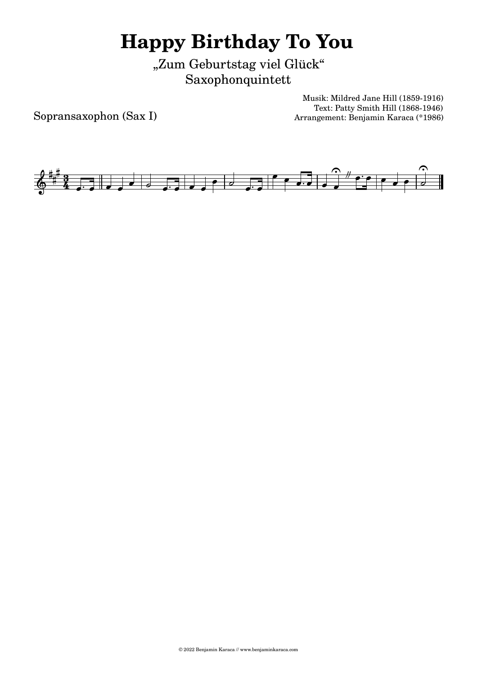"Zum Geburtstag viel Glück" Saxophonquintett

Sopransaxophon (Sax I)

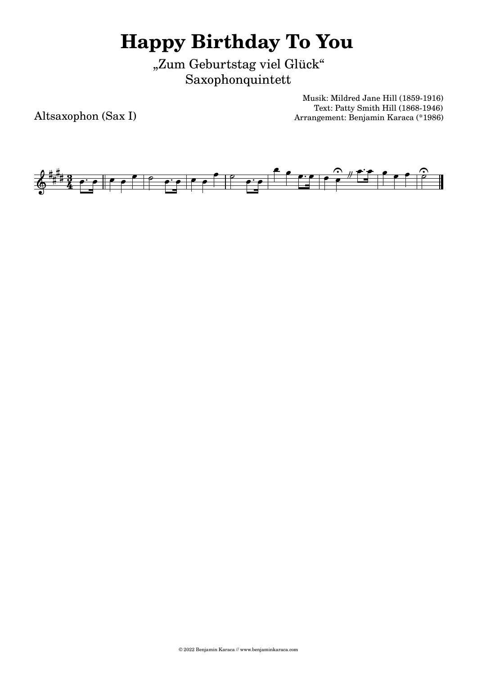"Zum Geburtstag viel Glück" Saxophonquintett

Altsaxophon (Sax I)

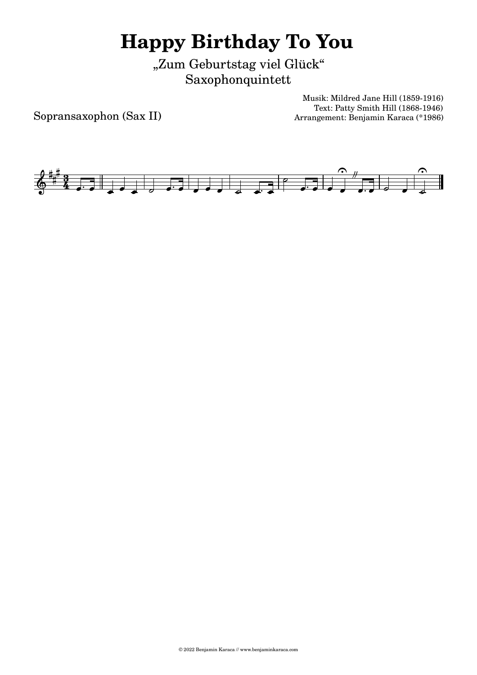"Zum Geburtstag viel Glück" Saxophonquintett

Sopransaxophon (Sax II)

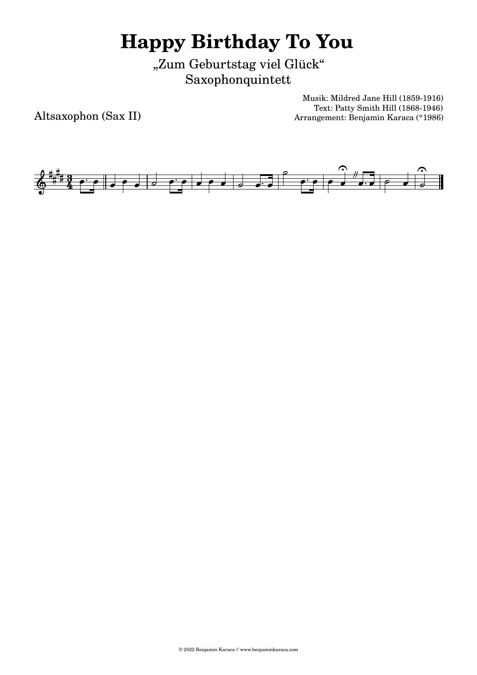"Zum Geburtstag viel Glück" Saxophonquintett

Altsaxophon (Sax II)

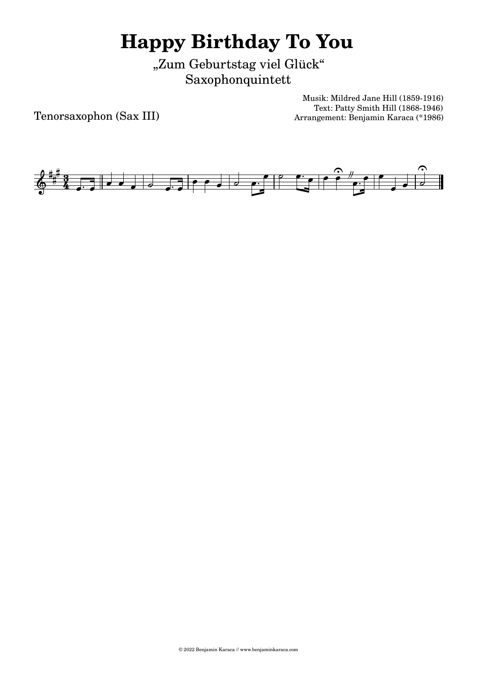"Zum Geburtstag viel Glück" Saxophonquintett

Tenorsaxophon (Sax III)

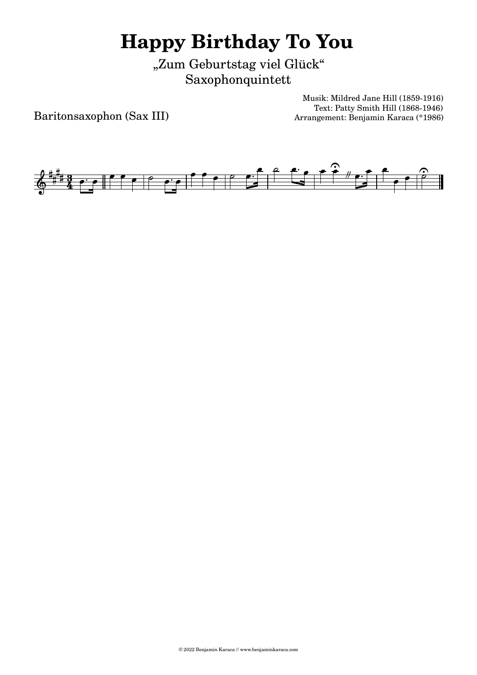"Zum Geburtstag viel Glück" Saxophonquintett

Baritonsaxophon (Sax III)

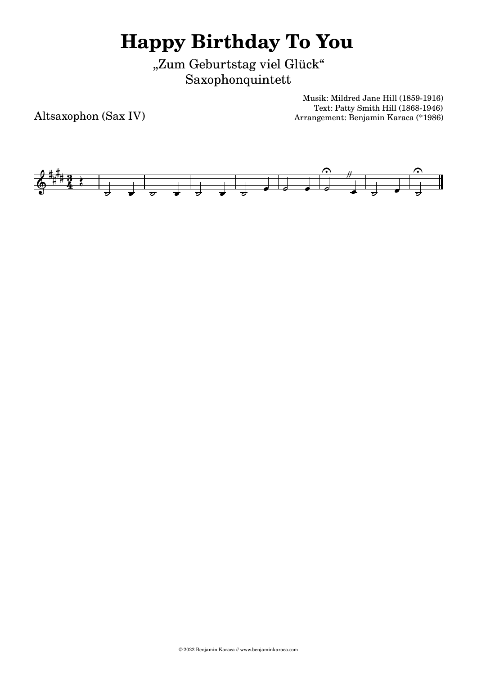"Zum Geburtstag viel Glück" Saxophonquintett

Altsaxophon (Sax IV)

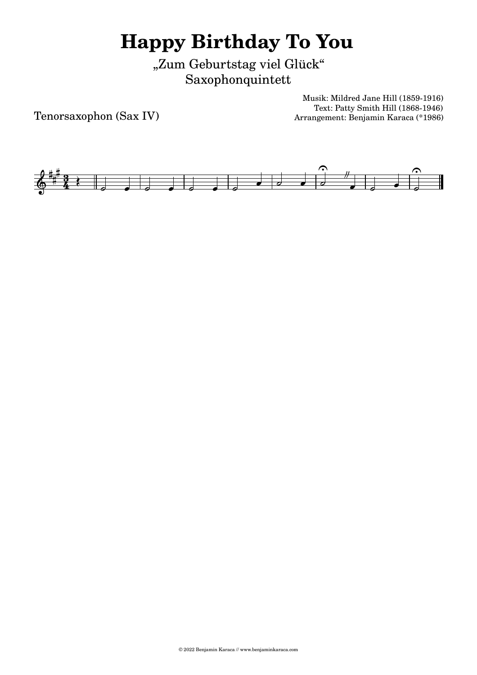"Zum Geburtstag viel Glück" Saxophonquintett

Tenorsaxophon (Sax IV)

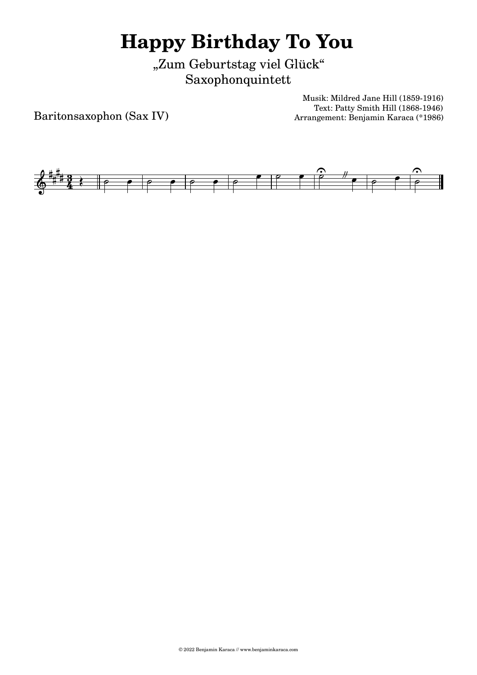"Zum Geburtstag viel Glück" Saxophonquintett

Baritonsaxophon (Sax IV)